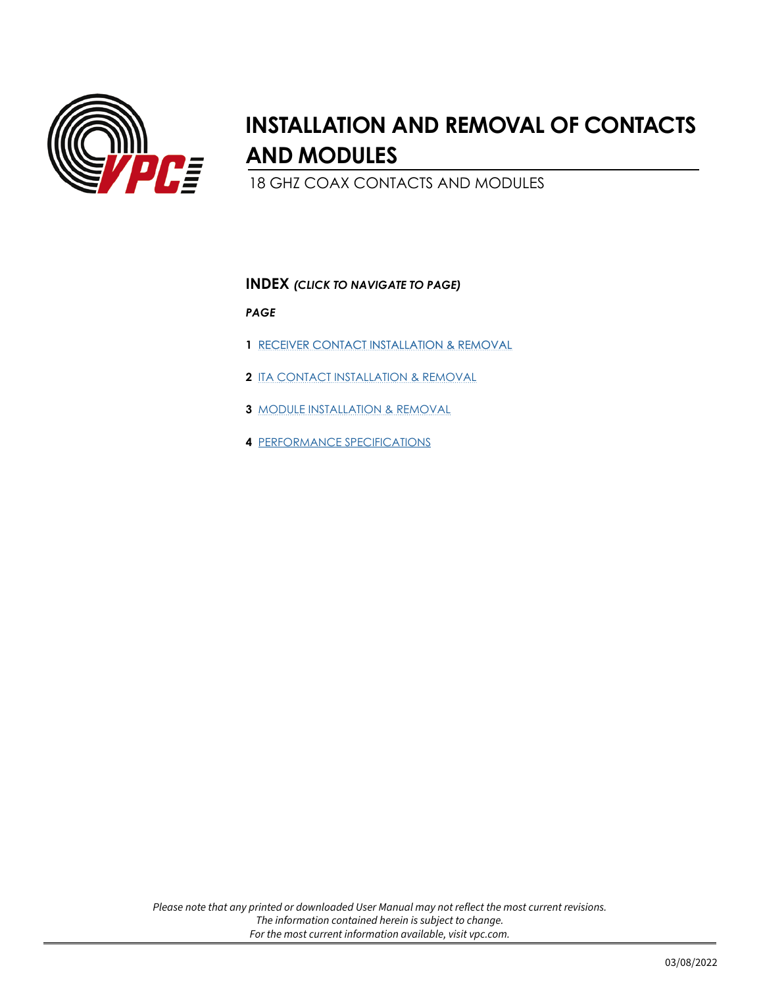<span id="page-0-0"></span>

# **INSTALLATION AND REMOVAL OF CONTACTS AND MODULES**

18 GHZ COAX CONTACTS AND MODULES

### **INDEX** *(CLICK TO NAVIGATE TO PAGE)*

*PAGE*

- **1** [RECEIVER CONTACT INSTALLATION & REMOVAL](#page-1-0)
- **2** [ITA CONTACT INSTALLATION & REMOVAL](#page-2-0)
- **3** [MODULE INSTALLATION & REMOVAL](#page-3-0)
- **4** [PERFORMANCE SPECIFICATIONS](#page-4-0)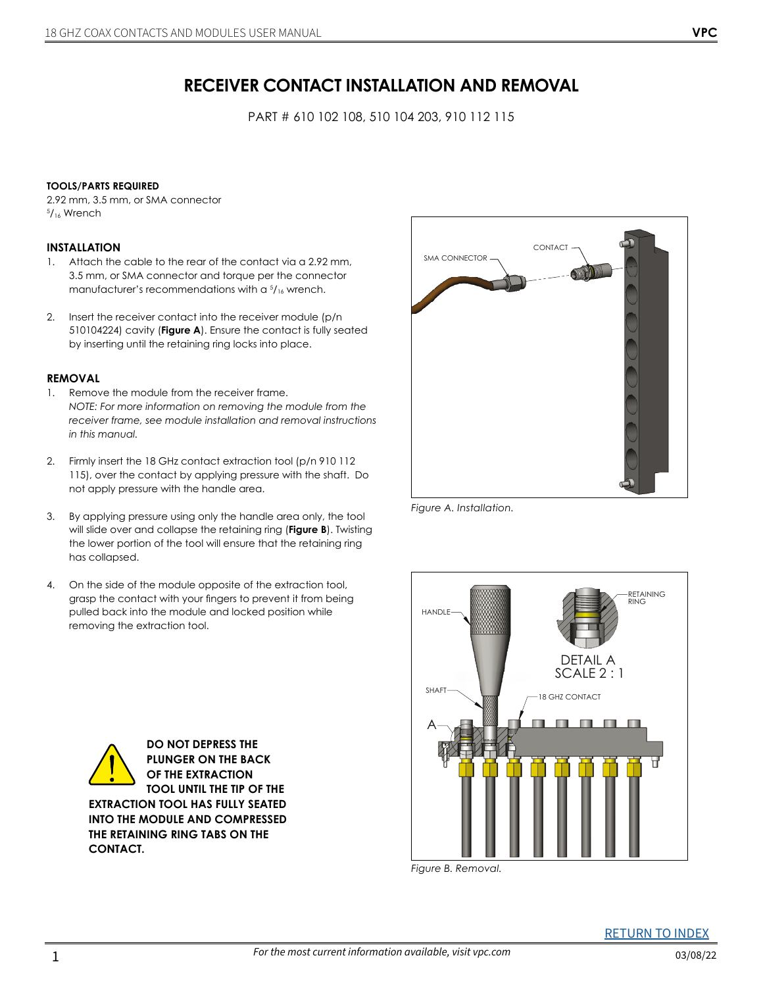## **RECEIVER CONTACT INSTALLATION AND REMOVAL**

PART # 610 102 108, 510 104 203, 910 112 115

#### <span id="page-1-0"></span>**TOOLS/PARTS REQUIRED**

2.92 mm, 3.5 mm, or SMA connector 5 /16 Wrench

#### **INSTALLATION**

- 1. Attach the cable to the rear of the contact via a 2.92 mm, 3.5 mm, or SMA connector and torque per the connector manufacturer's recommendations with a  $\frac{5}{16}$  wrench.
- 2. Insert the receiver contact into the receiver module (p/n 510104224) cavity (**Figure A**). Ensure the contact is fully seated by inserting until the retaining ring locks into place.

#### **REMOVAL**

- 1. Remove the module from the receiver frame. *NOTE: For more information on removing the module from the receiver frame, see module installation and removal instructions in this manual.*
- 2. Firmly insert the 18 GHz contact extraction tool (p/n 910 112 115), over the contact by applying pressure with the shaft. Do not apply pressure with the handle area.
- 3. By applying pressure using only the handle area only, the tool will slide over and collapse the retaining ring (**Figure B**). Twisting the lower portion of the tool will ensure that the retaining ring has collapsed.
- 4. On the side of the module opposite of the extraction tool, grasp the contact with your fingers to prevent it from being pulled back into the module and locked position while removing the extraction tool.

**DO NOT DEPRESS THE PLUNGER ON THE BACK OF THE EXTRACTION TOOL UNTIL THE TIP OF THE** 

**EXTRACTION TOOL HAS FULLY SEATED INTO THE MODULE AND COMPRESSED THE RETAINING RING TABS ON THE** 

**CONTACT.** 



*Figure A. Installation.* 



*Figure B. Removal.*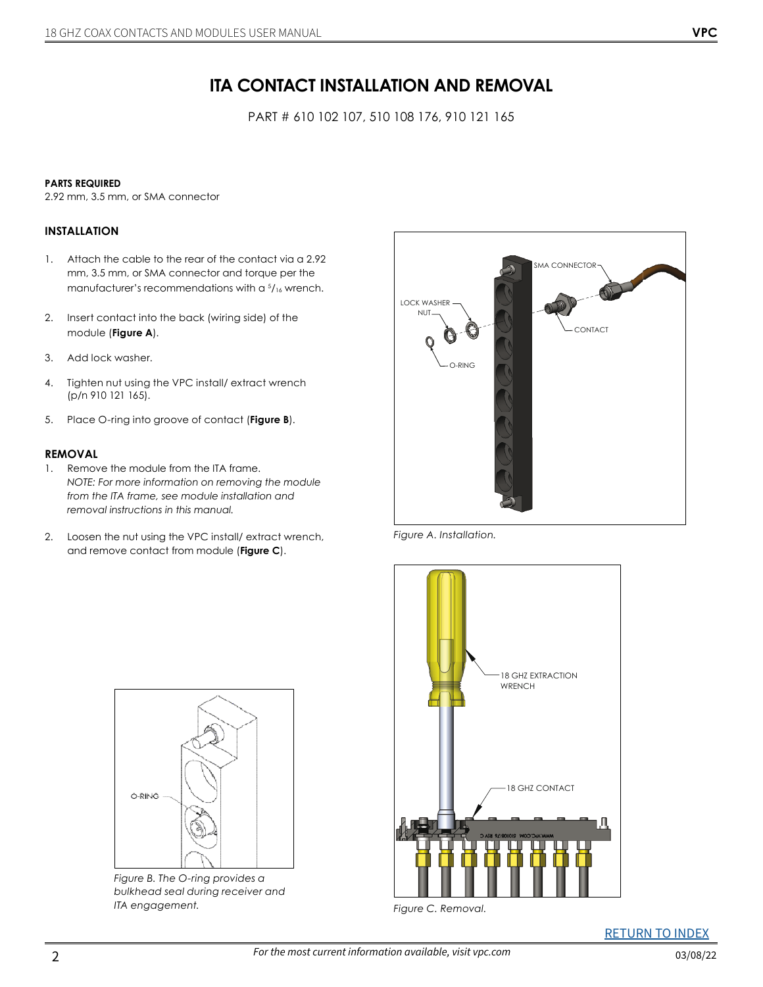PART # 610 102 107, 510 108 176, 910 121 165

#### <span id="page-2-0"></span>**PARTS REQUIRED**

2.92 mm, 3.5 mm, or SMA connector

#### **INSTALLATION**

- 1. Attach the cable to the rear of the contact via a 2.92 mm, 3.5 mm, or SMA connector and torque per the manufacturer's recommendations with a  $\frac{5}{16}$  wrench.
- 2. Insert contact into the back (wiring side) of the module (**Figure A**).
- 3. Add lock washer.
- 4. Tighten nut using the VPC install/ extract wrench (p/n 910 121 165).
- 5. Place O-ring into groove of contact (**Figure B**).

#### **REMOVAL**

- 1. Remove the module from the ITA frame. *NOTE: For more information on removing the module from the ITA frame, see module installation and removal instructions in this manual.*
- 2. Loosen the nut using the VPC install/ extract wrench, and remove contact from module (**Figure C**).



*Figure A. Installation.*



*Figure C. Removal.*



*Figure B. The O-ring provides a bulkhead seal during receiver and ITA engagement.*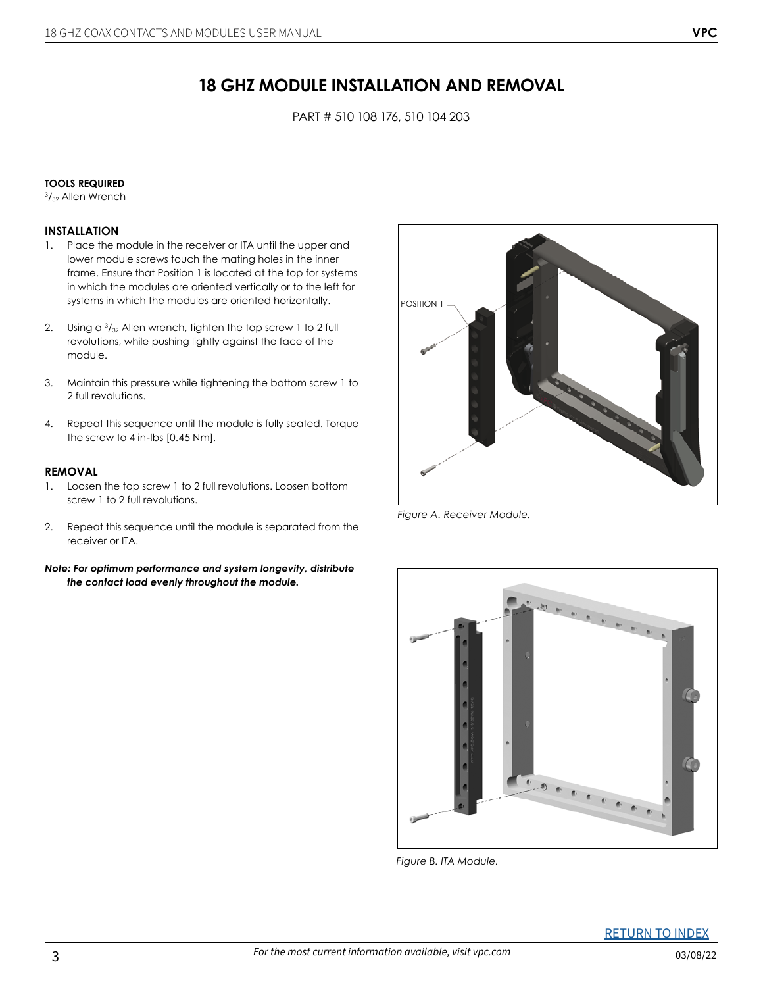PART # 510 108 176, 510 104 203

#### <span id="page-3-0"></span>**TOOLS REQUIRED**

3 /32 Allen Wrench

#### **INSTALLATION**

- 1. Place the module in the receiver or ITA until the upper and lower module screws touch the mating holes in the inner frame. Ensure that Position 1 is located at the top for systems in which the modules are oriented vertically or to the left for systems in which the modules are oriented horizontally.
- 2. Using a  $\frac{3}{32}$  Allen wrench, tighten the top screw 1 to 2 full revolutions, while pushing lightly against the face of the module.
- 3. Maintain this pressure while tightening the bottom screw 1 to 2 full revolutions.
- 4. Repeat this sequence until the module is fully seated. Torque the screw to 4 in-lbs [0.45 Nm].

#### **REMOVAL**

- 1. Loosen the top screw 1 to 2 full revolutions. Loosen bottom screw 1 to 2 full revolutions.
- 2. Repeat this sequence until the module is separated from the receiver or ITA.
- *Note: For optimum performance and system longevity, distribute the contact load evenly throughout the module.*



*Figure A. Receiver Module.*



*Figure B. ITA Module.*